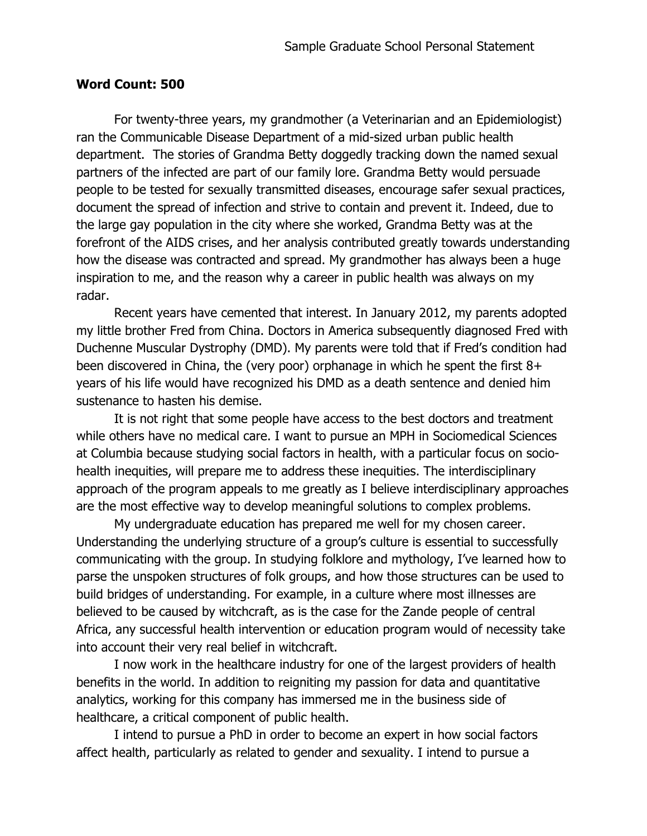## **Word Count: 500**

For twenty-three years, my grandmother (a Veterinarian and an Epidemiologist) ran the Communicable Disease Department of a mid-sized urban public health department. The stories of Grandma Betty doggedly tracking down the named sexual partners of the infected are part of our family lore. Grandma Betty would persuade people to be tested for sexually transmitted diseases, encourage safer sexual practices, document the spread of infection and strive to contain and prevent it. Indeed, due to the large gay population in the city where she worked, Grandma Betty was at the forefront of the AIDS crises, and her analysis contributed greatly towards understanding how the disease was contracted and spread. My grandmother has always been a huge inspiration to me, and the reason why a career in public health was always on my radar.

Recent years have cemented that interest. In January 2012, my parents adopted my little brother Fred from China. Doctors in America subsequently diagnosed Fred with Duchenne Muscular Dystrophy (DMD). My parents were told that if Fred's condition had been discovered in China, the (very poor) orphanage in which he spent the first 8+ years of his life would have recognized his DMD as a death sentence and denied him sustenance to hasten his demise.

It is not right that some people have access to the best doctors and treatment while others have no medical care. I want to pursue an MPH in Sociomedical Sciences at Columbia because studying social factors in health, with a particular focus on sociohealth inequities, will prepare me to address these inequities. The interdisciplinary approach of the program appeals to me greatly as I believe interdisciplinary approaches are the most effective way to develop meaningful solutions to complex problems.

My undergraduate education has prepared me well for my chosen career. Understanding the underlying structure of a group's culture is essential to successfully communicating with the group. In studying folklore and mythology, I've learned how to parse the unspoken structures of folk groups, and how those structures can be used to build bridges of understanding. For example, in a culture where most illnesses are believed to be caused by witchcraft, as is the case for the Zande people of central Africa, any successful health intervention or education program would of necessity take into account their very real belief in witchcraft.

I now work in the healthcare industry for one of the largest providers of health benefits in the world. In addition to reigniting my passion for data and quantitative analytics, working for this company has immersed me in the business side of healthcare, a critical component of public health.

I intend to pursue a PhD in order to become an expert in how social factors affect health, particularly as related to gender and sexuality. I intend to pursue a